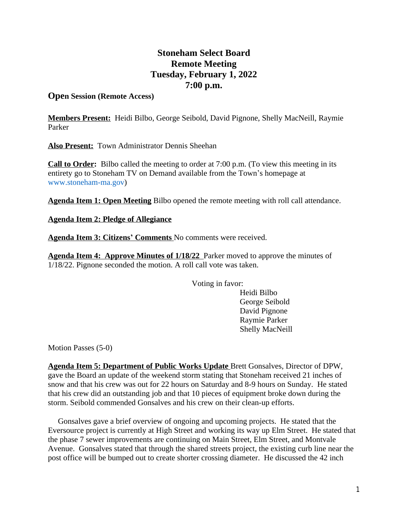## **Stoneham Select Board Remote Meeting Tuesday, February 1, 2022 7:00 p.m.**

## **Open Session (Remote Access)**

**Members Present:** Heidi Bilbo, George Seibold, David Pignone, Shelly MacNeill, Raymie Parker

**Also Present:** Town Administrator Dennis Sheehan

**Call to Order:** Bilbo called the meeting to order at 7:00 p.m. (To view this meeting in its entirety go to Stoneham TV on Demand available from the Town's homepage at [www.stoneham-ma.gov\)](http://www.stoneham-ma.gov)

**Agenda Item 1: Open Meeting** Bilbo opened the remote meeting with roll call attendance.

**Agenda Item 2: Pledge of Allegiance**

**Agenda Item 3: Citizens' Comments** No comments were received.

**Agenda Item 4: Approve Minutes of 1/18/22** Parker moved to approve the minutes of 1/18/22. Pignone seconded the motion. A roll call vote was taken.

Voting in favor:

Heidi Bilbo George Seibold David Pignone Raymie Parker Shelly MacNeill

Motion Passes (5-0)

**Agenda Item 5: Department of Public Works Update** Brett Gonsalves, Director of DPW, gave the Board an update of the weekend storm stating that Stoneham received 21 inches of snow and that his crew was out for 22 hours on Saturday and 8-9 hours on Sunday. He stated that his crew did an outstanding job and that 10 pieces of equipment broke down during the storm. Seibold commended Gonsalves and his crew on their clean-up efforts.

 Gonsalves gave a brief overview of ongoing and upcoming projects. He stated that the Eversource project is currently at High Street and working its way up Elm Street. He stated that the phase 7 sewer improvements are continuing on Main Street, Elm Street, and Montvale Avenue. Gonsalves stated that through the shared streets project, the existing curb line near the post office will be bumped out to create shorter crossing diameter. He discussed the 42 inch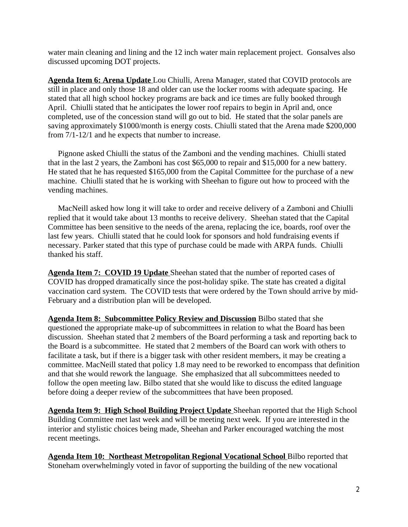water main cleaning and lining and the 12 inch water main replacement project. Gonsalves also discussed upcoming DOT projects.

**Agenda Item 6: Arena Update** Lou Chiulli, Arena Manager, stated that COVID protocols are still in place and only those 18 and older can use the locker rooms with adequate spacing. He stated that all high school hockey programs are back and ice times are fully booked through April. Chiulli stated that he anticipates the lower roof repairs to begin in April and, once completed, use of the concession stand will go out to bid. He stated that the solar panels are saving approximately \$1000/month is energy costs. Chiulli stated that the Arena made \$200,000 from 7/1-12/1 and he expects that number to increase.

 Pignone asked Chiulli the status of the Zamboni and the vending machines. Chiulli stated that in the last 2 years, the Zamboni has cost \$65,000 to repair and \$15,000 for a new battery. He stated that he has requested \$165,000 from the Capital Committee for the purchase of a new machine. Chiulli stated that he is working with Sheehan to figure out how to proceed with the vending machines.

 MacNeill asked how long it will take to order and receive delivery of a Zamboni and Chiulli replied that it would take about 13 months to receive delivery. Sheehan stated that the Capital Committee has been sensitive to the needs of the arena, replacing the ice, boards, roof over the last few years. Chiulli stated that he could look for sponsors and hold fundraising events if necessary. Parker stated that this type of purchase could be made with ARPA funds. Chiulli thanked his staff.

**Agenda Item 7: COVID 19 Update** Sheehan stated that the number of reported cases of COVID has dropped dramatically since the post-holiday spike. The state has created a digital vaccination card system. The COVID tests that were ordered by the Town should arrive by mid-February and a distribution plan will be developed.

**Agenda Item 8: Subcommittee Policy Review and Discussion** Bilbo stated that she questioned the appropriate make-up of subcommittees in relation to what the Board has been discussion. Sheehan stated that 2 members of the Board performing a task and reporting back to the Board is a subcommittee. He stated that 2 members of the Board can work with others to facilitate a task, but if there is a bigger task with other resident members, it may be creating a committee. MacNeill stated that policy 1.8 may need to be reworked to encompass that definition and that she would rework the language. She emphasized that all subcommittees needed to follow the open meeting law. Bilbo stated that she would like to discuss the edited language before doing a deeper review of the subcommittees that have been proposed.

**Agenda Item 9: High School Building Project Update** Sheehan reported that the High School Building Committee met last week and will be meeting next week. If you are interested in the interior and stylistic choices being made, Sheehan and Parker encouraged watching the most recent meetings.

**Agenda Item 10: Northeast Metropolitan Regional Vocational School** Bilbo reported that Stoneham overwhelmingly voted in favor of supporting the building of the new vocational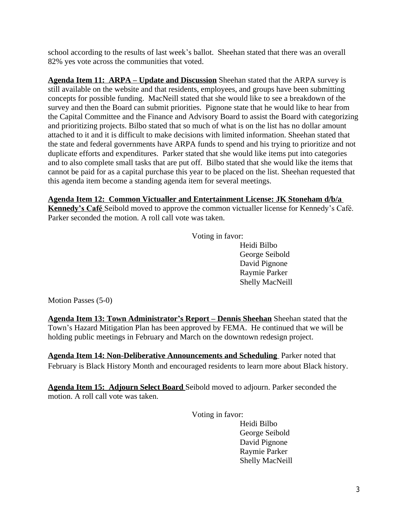school according to the results of last week's ballot. Sheehan stated that there was an overall 82% yes vote across the communities that voted.

**Agenda Item 11: ARPA – Update and Discussion** Sheehan stated that the ARPA survey is still available on the website and that residents, employees, and groups have been submitting concepts for possible funding. MacNeill stated that she would like to see a breakdown of the survey and then the Board can submit priorities. Pignone state that he would like to hear from the Capital Committee and the Finance and Advisory Board to assist the Board with categorizing and prioritizing projects. Bilbo stated that so much of what is on the list has no dollar amount attached to it and it is difficult to make decisions with limited information. Sheehan stated that the state and federal governments have ARPA funds to spend and his trying to prioritize and not duplicate efforts and expenditures. Parker stated that she would like items put into categories and to also complete small tasks that are put off. Bilbo stated that she would like the items that cannot be paid for as a capital purchase this year to be placed on the list. Sheehan requested that this agenda item become a standing agenda item for several meetings.

**Agenda Item 12: Common Victualler and Entertainment License: JK Stoneham d/b/a Kennedy's Café** Seibold moved to approve the common victualler license for Kennedy's Café. Parker seconded the motion. A roll call vote was taken.

Voting in favor:

Heidi Bilbo George Seibold David Pignone Raymie Parker Shelly MacNeill

Motion Passes (5-0)

**Agenda Item 13: Town Administrator's Report – Dennis Sheehan** Sheehan stated that the Town's Hazard Mitigation Plan has been approved by FEMA. He continued that we will be holding public meetings in February and March on the downtown redesign project.

**Agenda Item 14: Non-Deliberative Announcements and Scheduling** Parker noted that February is Black History Month and encouraged residents to learn more about Black history.

**Agenda Item 15: Adjourn Select Board** Seibold moved to adjourn. Parker seconded the motion. A roll call vote was taken.

Voting in favor:

Heidi Bilbo George Seibold David Pignone Raymie Parker Shelly MacNeill